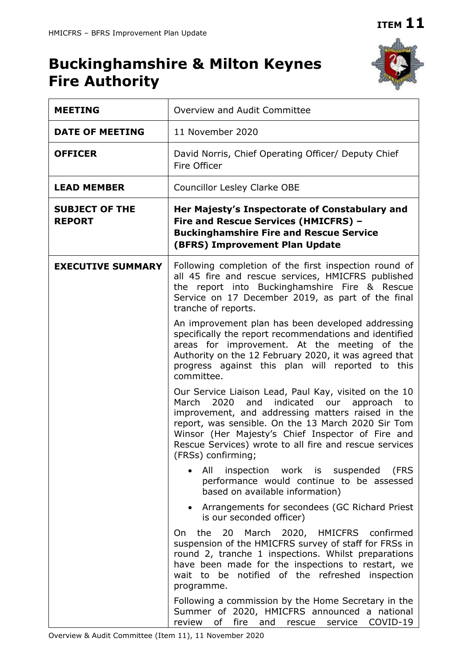# **Buckinghamshire & Milton Keynes Fire Authority**



| <b>MEETING</b>                         | Overview and Audit Committee                                                                                                                                                                                                                                                                                                                                  |
|----------------------------------------|---------------------------------------------------------------------------------------------------------------------------------------------------------------------------------------------------------------------------------------------------------------------------------------------------------------------------------------------------------------|
| <b>DATE OF MEETING</b>                 | 11 November 2020                                                                                                                                                                                                                                                                                                                                              |
| <b>OFFICER</b>                         | David Norris, Chief Operating Officer/ Deputy Chief<br>Fire Officer                                                                                                                                                                                                                                                                                           |
| <b>LEAD MEMBER</b>                     | <b>Councillor Lesley Clarke OBE</b>                                                                                                                                                                                                                                                                                                                           |
| <b>SUBJECT OF THE</b><br><b>REPORT</b> | Her Majesty's Inspectorate of Constabulary and<br>Fire and Rescue Services (HMICFRS) -<br><b>Buckinghamshire Fire and Rescue Service</b><br>(BFRS) Improvement Plan Update                                                                                                                                                                                    |
| <b>EXECUTIVE SUMMARY</b>               | Following completion of the first inspection round of<br>all 45 fire and rescue services, HMICFRS published<br>the report into Buckinghamshire Fire & Rescue<br>Service on 17 December 2019, as part of the final<br>tranche of reports.                                                                                                                      |
|                                        | An improvement plan has been developed addressing<br>specifically the report recommendations and identified<br>areas for improvement. At the meeting of the<br>Authority on the 12 February 2020, it was agreed that<br>progress against this plan will reported to this<br>committee.                                                                        |
|                                        | Our Service Liaison Lead, Paul Kay, visited on the 10<br>indicated<br>2020<br>and<br>March<br>our approach to<br>improvement, and addressing matters raised in the<br>report, was sensible. On the 13 March 2020 Sir Tom<br>Winsor (Her Majesty's Chief Inspector of Fire and<br>Rescue Services) wrote to all fire and rescue services<br>(FRSs) confirming; |
|                                        | All<br>inspection work is suspended<br>(FRS<br>performance would continue to be assessed<br>based on available information)                                                                                                                                                                                                                                   |
|                                        | Arrangements for secondees (GC Richard Priest<br>is our seconded officer)                                                                                                                                                                                                                                                                                     |
|                                        | 20 March 2020, HMICFRS confirmed<br>the<br>On<br>suspension of the HMICFRS survey of staff for FRSs in<br>round 2, tranche 1 inspections. Whilst preparations<br>have been made for the inspections to restart, we<br>be notified of the refreshed inspection<br>wait to<br>programme.                                                                        |
|                                        | Following a commission by the Home Secretary in the<br>Summer of 2020, HMICFRS announced a national<br>fire and<br>COVID-19<br>review<br>of<br>service<br>rescue                                                                                                                                                                                              |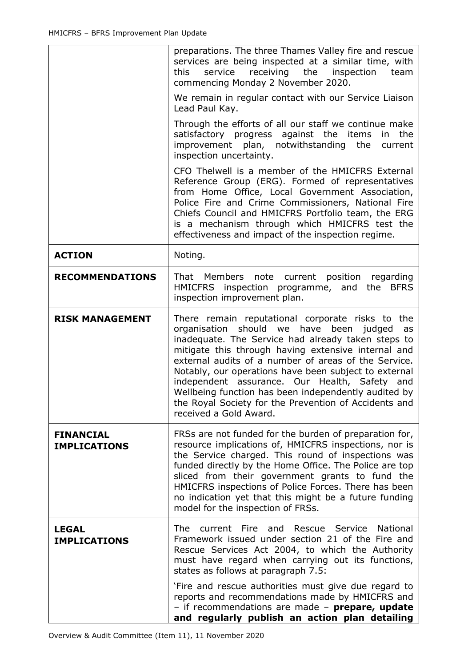|                                         | preparations. The three Thames Valley fire and rescue<br>services are being inspected at a similar time, with<br>service<br>receiving the<br>inspection<br>this<br>team<br>commencing Monday 2 November 2020.                                                                                                                                                                                                                                                                                                               |
|-----------------------------------------|-----------------------------------------------------------------------------------------------------------------------------------------------------------------------------------------------------------------------------------------------------------------------------------------------------------------------------------------------------------------------------------------------------------------------------------------------------------------------------------------------------------------------------|
|                                         | We remain in regular contact with our Service Liaison<br>Lead Paul Kay.                                                                                                                                                                                                                                                                                                                                                                                                                                                     |
|                                         | Through the efforts of all our staff we continue make<br>satisfactory progress against the items<br>in the<br>improvement plan, notwithstanding the<br>current<br>inspection uncertainty.                                                                                                                                                                                                                                                                                                                                   |
|                                         | CFO Thelwell is a member of the HMICFRS External<br>Reference Group (ERG). Formed of representatives<br>from Home Office, Local Government Association,<br>Police Fire and Crime Commissioners, National Fire<br>Chiefs Council and HMICFRS Portfolio team, the ERG<br>is a mechanism through which HMICFRS test the<br>effectiveness and impact of the inspection regime.                                                                                                                                                  |
| <b>ACTION</b>                           | Noting.                                                                                                                                                                                                                                                                                                                                                                                                                                                                                                                     |
| <b>RECOMMENDATIONS</b>                  | That Members note current position regarding<br>HMICFRS inspection programme, and the BFRS<br>inspection improvement plan.                                                                                                                                                                                                                                                                                                                                                                                                  |
| <b>RISK MANAGEMENT</b>                  | There remain reputational corporate risks to the<br>organisation should we have been judged<br>as<br>inadequate. The Service had already taken steps to<br>mitigate this through having extensive internal and<br>external audits of a number of areas of the Service.<br>Notably, our operations have been subject to external<br>independent assurance. Our Health, Safety and<br>Wellbeing function has been independently audited by<br>the Royal Society for the Prevention of Accidents and<br>received a Gold Award. |
| <b>FINANCIAL</b><br><b>IMPLICATIONS</b> | FRSs are not funded for the burden of preparation for,<br>resource implications of, HMICFRS inspections, nor is<br>the Service charged. This round of inspections was<br>funded directly by the Home Office. The Police are top<br>sliced from their government grants to fund the<br>HMICFRS inspections of Police Forces. There has been<br>no indication yet that this might be a future funding<br>model for the inspection of FRSs.                                                                                    |
| <b>LEGAL</b><br><b>IMPLICATIONS</b>     | <b>The</b><br>current Fire and Rescue Service National<br>Framework issued under section 21 of the Fire and<br>Rescue Services Act 2004, to which the Authority<br>must have regard when carrying out its functions,<br>states as follows at paragraph 7.5:                                                                                                                                                                                                                                                                 |
|                                         | 'Fire and rescue authorities must give due regard to<br>reports and recommendations made by HMICFRS and<br>- if recommendations are made - prepare, update<br>and regularly publish an action plan detailing                                                                                                                                                                                                                                                                                                                |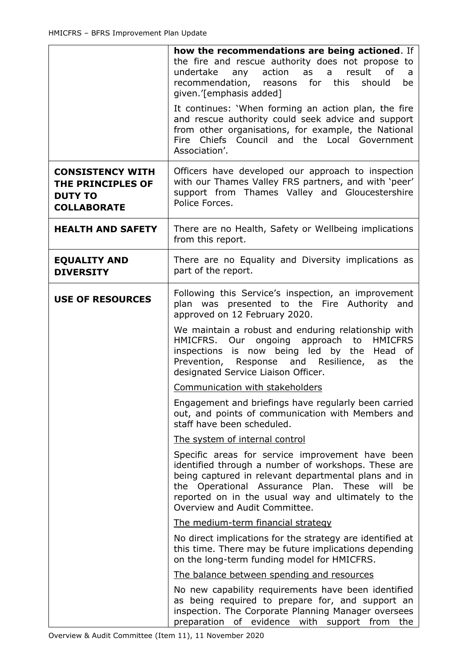|                                                                                      | how the recommendations are being actioned. If<br>the fire and rescue authority does not propose to<br>result<br>undertake<br>any action as<br>0f<br>a<br>a<br>recommendation, reasons for<br>this<br>should<br>be<br>given.'[emphasis added]<br>It continues: 'When forming an action plan, the fire<br>and rescue authority could seek advice and support<br>from other organisations, for example, the National<br>Fire Chiefs Council and the Local Government<br>Association'.                                                                                                                                                                                                                                                                                                                                                                                                                                                                                                                                                                                                                                                                  |
|--------------------------------------------------------------------------------------|------------------------------------------------------------------------------------------------------------------------------------------------------------------------------------------------------------------------------------------------------------------------------------------------------------------------------------------------------------------------------------------------------------------------------------------------------------------------------------------------------------------------------------------------------------------------------------------------------------------------------------------------------------------------------------------------------------------------------------------------------------------------------------------------------------------------------------------------------------------------------------------------------------------------------------------------------------------------------------------------------------------------------------------------------------------------------------------------------------------------------------------------------|
| <b>CONSISTENCY WITH</b><br>THE PRINCIPLES OF<br><b>DUTY TO</b><br><b>COLLABORATE</b> | Officers have developed our approach to inspection<br>with our Thames Valley FRS partners, and with 'peer'<br>support from Thames Valley and Gloucestershire<br>Police Forces.                                                                                                                                                                                                                                                                                                                                                                                                                                                                                                                                                                                                                                                                                                                                                                                                                                                                                                                                                                       |
| <b>HEALTH AND SAFETY</b>                                                             | There are no Health, Safety or Wellbeing implications<br>from this report.                                                                                                                                                                                                                                                                                                                                                                                                                                                                                                                                                                                                                                                                                                                                                                                                                                                                                                                                                                                                                                                                           |
| <b>EQUALITY AND</b><br><b>DIVERSITY</b>                                              | There are no Equality and Diversity implications as<br>part of the report.                                                                                                                                                                                                                                                                                                                                                                                                                                                                                                                                                                                                                                                                                                                                                                                                                                                                                                                                                                                                                                                                           |
| <b>USE OF RESOURCES</b>                                                              | Following this Service's inspection, an improvement<br>plan was presented to the Fire Authority and<br>approved on 12 February 2020.<br>We maintain a robust and enduring relationship with<br>HMICFRS. Our ongoing approach<br>to<br><b>HMICFRS</b><br>inspections is now being led by the<br>Head<br>0f<br>Prevention, Response and Resilience,<br>the<br>as<br>designated Service Liaison Officer.<br>Communication with stakeholders<br>Engagement and briefings have regularly been carried<br>out, and points of communication with Members and<br>staff have been scheduled.<br>The system of internal control<br>Specific areas for service improvement have been<br>identified through a number of workshops. These are<br>being captured in relevant departmental plans and in<br>the Operational Assurance Plan.<br>These<br>will<br>be<br>reported on in the usual way and ultimately to the<br>Overview and Audit Committee.<br>The medium-term financial strategy<br>No direct implications for the strategy are identified at<br>this time. There may be future implications depending<br>on the long-term funding model for HMICFRS. |
|                                                                                      | The balance between spending and resources<br>No new capability requirements have been identified<br>as being required to prepare for, and support an<br>inspection. The Corporate Planning Manager oversees<br>preparation of evidence with support from<br>the                                                                                                                                                                                                                                                                                                                                                                                                                                                                                                                                                                                                                                                                                                                                                                                                                                                                                     |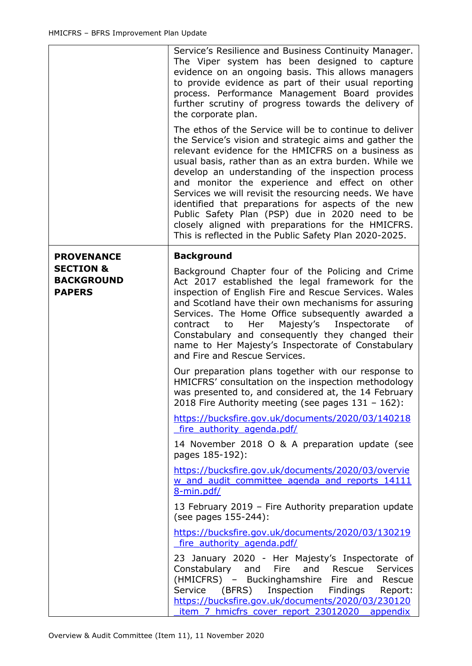|                                                            | Service's Resilience and Business Continuity Manager.<br>The Viper system has been designed to capture<br>evidence on an ongoing basis. This allows managers<br>to provide evidence as part of their usual reporting<br>process. Performance Management Board provides<br>further scrutiny of progress towards the delivery of<br>the corporate plan.                                                                                                                                                                                                                                                                        |
|------------------------------------------------------------|------------------------------------------------------------------------------------------------------------------------------------------------------------------------------------------------------------------------------------------------------------------------------------------------------------------------------------------------------------------------------------------------------------------------------------------------------------------------------------------------------------------------------------------------------------------------------------------------------------------------------|
|                                                            | The ethos of the Service will be to continue to deliver<br>the Service's vision and strategic aims and gather the<br>relevant evidence for the HMICFRS on a business as<br>usual basis, rather than as an extra burden. While we<br>develop an understanding of the inspection process<br>and monitor the experience and effect on other<br>Services we will revisit the resourcing needs. We have<br>identified that preparations for aspects of the new<br>Public Safety Plan (PSP) due in 2020 need to be<br>closely aligned with preparations for the HMICFRS.<br>This is reflected in the Public Safety Plan 2020-2025. |
| <b>PROVENANCE</b>                                          | <b>Background</b>                                                                                                                                                                                                                                                                                                                                                                                                                                                                                                                                                                                                            |
| <b>SECTION &amp;</b><br><b>BACKGROUND</b><br><b>PAPERS</b> | Background Chapter four of the Policing and Crime<br>Act 2017 established the legal framework for the<br>inspection of English Fire and Rescue Services. Wales<br>and Scotland have their own mechanisms for assuring<br>Services. The Home Office subsequently awarded a<br>to Her<br>Majesty's Inspectorate<br>contract<br>of<br>Constabulary and consequently they changed their<br>name to Her Majesty's Inspectorate of Constabulary<br>and Fire and Rescue Services.                                                                                                                                                   |
|                                                            | Our preparation plans together with our response to<br>HMICFRS' consultation on the inspection methodology<br>was presented to, and considered at, the 14 February<br>2018 Fire Authority meeting (see pages $131 - 162$ ):                                                                                                                                                                                                                                                                                                                                                                                                  |
|                                                            | https://bucksfire.gov.uk/documents/2020/03/140218<br>fire authority agenda.pdf/                                                                                                                                                                                                                                                                                                                                                                                                                                                                                                                                              |
|                                                            | 14 November 2018 O & A preparation update (see<br>pages 185-192):                                                                                                                                                                                                                                                                                                                                                                                                                                                                                                                                                            |
|                                                            | https://bucksfire.gov.uk/documents/2020/03/overvie<br>w and audit committee agenda and reports 14111<br>8-min.pdf/                                                                                                                                                                                                                                                                                                                                                                                                                                                                                                           |
|                                                            | 13 February 2019 - Fire Authority preparation update<br>(see pages 155-244):                                                                                                                                                                                                                                                                                                                                                                                                                                                                                                                                                 |
|                                                            | https://bucksfire.gov.uk/documents/2020/03/130219<br>fire authority agenda.pdf/                                                                                                                                                                                                                                                                                                                                                                                                                                                                                                                                              |
|                                                            | 23 January 2020 - Her Majesty's Inspectorate of<br>Constabulary and Fire<br>and Rescue<br><b>Services</b><br>(HMICFRS) - Buckinghamshire Fire and Rescue<br>Service (BFRS) Inspection Findings Report:<br>https://bucksfire.gov.uk/documents/2020/03/230120<br>item 7 hmicfrs cover report 23012020 appendix                                                                                                                                                                                                                                                                                                                 |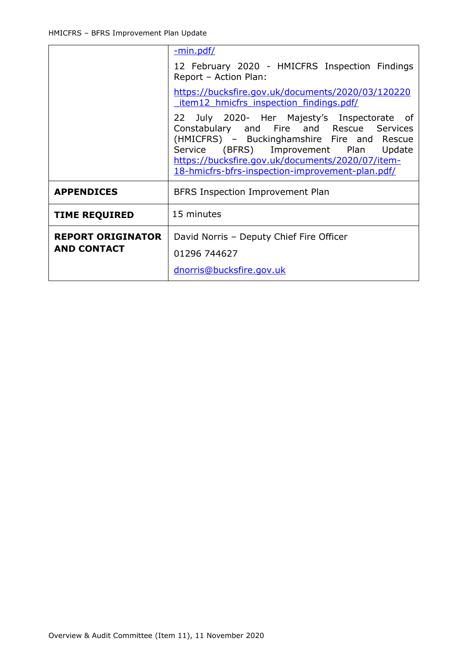|                                                | <u>-min.pdf/</u>                                                                                                                                                                                                                                                                          |
|------------------------------------------------|-------------------------------------------------------------------------------------------------------------------------------------------------------------------------------------------------------------------------------------------------------------------------------------------|
|                                                | 12 February 2020 - HMICFRS Inspection Findings<br>Report - Action Plan:                                                                                                                                                                                                                   |
|                                                | https://bucksfire.gov.uk/documents/2020/03/120220<br>item12 hmicfrs inspection findings.pdf/                                                                                                                                                                                              |
|                                                | 22 July 2020- Her Majesty's Inspectorate of<br>Constabulary and Fire and Rescue Services<br>(HMICFRS) - Buckinghamshire Fire and Rescue<br>Service (BFRS) Improvement Plan Update<br>https://bucksfire.gov.uk/documents/2020/07/item-<br>18-hmicfrs-bfrs-inspection-improvement-plan.pdf/ |
| <b>APPENDICES</b>                              | BFRS Inspection Improvement Plan                                                                                                                                                                                                                                                          |
| <b>TIME REQUIRED</b>                           | 15 minutes                                                                                                                                                                                                                                                                                |
| <b>REPORT ORIGINATOR</b><br><b>AND CONTACT</b> | David Norris - Deputy Chief Fire Officer<br>01296 744627                                                                                                                                                                                                                                  |
|                                                | dnorris@bucksfire.gov.uk                                                                                                                                                                                                                                                                  |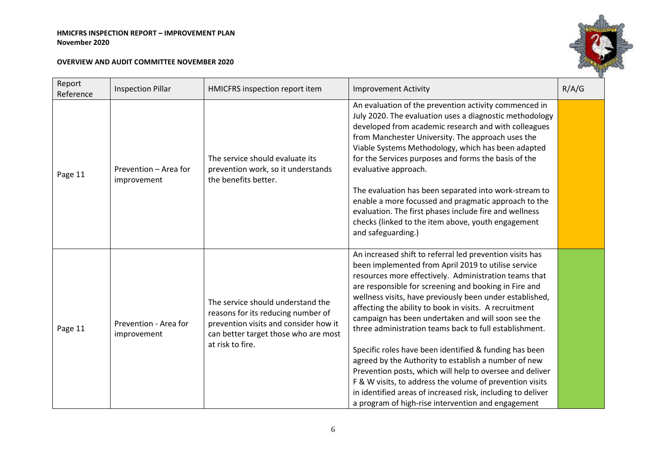| Report<br>Reference | <b>Inspection Pillar</b>             | HMICFRS inspection report item                                                                                                                                               | <b>Improvement Activity</b>                                                                                                                                                                                                                                                                                                                                                                                                                                                                                                                                                                                                                                                                                                                                                                                                            | R/A/G |
|---------------------|--------------------------------------|------------------------------------------------------------------------------------------------------------------------------------------------------------------------------|----------------------------------------------------------------------------------------------------------------------------------------------------------------------------------------------------------------------------------------------------------------------------------------------------------------------------------------------------------------------------------------------------------------------------------------------------------------------------------------------------------------------------------------------------------------------------------------------------------------------------------------------------------------------------------------------------------------------------------------------------------------------------------------------------------------------------------------|-------|
| Page 11             | Prevention - Area for<br>improvement | The service should evaluate its<br>prevention work, so it understands<br>the benefits better.                                                                                | An evaluation of the prevention activity commenced in<br>July 2020. The evaluation uses a diagnostic methodology<br>developed from academic research and with colleagues<br>from Manchester University. The approach uses the<br>Viable Systems Methodology, which has been adapted<br>for the Services purposes and forms the basis of the<br>evaluative approach.<br>The evaluation has been separated into work-stream to<br>enable a more focussed and pragmatic approach to the<br>evaluation. The first phases include fire and wellness<br>checks (linked to the item above, youth engagement<br>and safeguarding.)                                                                                                                                                                                                             |       |
| Page 11             | Prevention - Area for<br>improvement | The service should understand the<br>reasons for its reducing number of<br>prevention visits and consider how it<br>can better target those who are most<br>at risk to fire. | An increased shift to referral led prevention visits has<br>been implemented from April 2019 to utilise service<br>resources more effectively. Administration teams that<br>are responsible for screening and booking in Fire and<br>wellness visits, have previously been under established,<br>affecting the ability to book in visits. A recruitment<br>campaign has been undertaken and will soon see the<br>three administration teams back to full establishment.<br>Specific roles have been identified & funding has been<br>agreed by the Authority to establish a number of new<br>Prevention posts, which will help to oversee and deliver<br>F & W visits, to address the volume of prevention visits<br>in identified areas of increased risk, including to deliver<br>a program of high-rise intervention and engagement |       |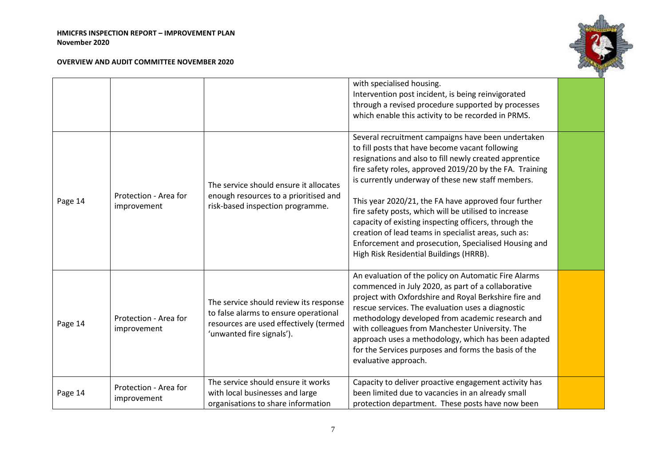

|         |                                      |                                                                                                                                                        | with specialised housing.<br>Intervention post incident, is being reinvigorated<br>through a revised procedure supported by processes<br>which enable this activity to be recorded in PRMS.                                                                                                                                                                                                                                                                                                                                                                                                                          |  |
|---------|--------------------------------------|--------------------------------------------------------------------------------------------------------------------------------------------------------|----------------------------------------------------------------------------------------------------------------------------------------------------------------------------------------------------------------------------------------------------------------------------------------------------------------------------------------------------------------------------------------------------------------------------------------------------------------------------------------------------------------------------------------------------------------------------------------------------------------------|--|
| Page 14 | Protection - Area for<br>improvement | The service should ensure it allocates<br>enough resources to a prioritised and<br>risk-based inspection programme.                                    | Several recruitment campaigns have been undertaken<br>to fill posts that have become vacant following<br>resignations and also to fill newly created apprentice<br>fire safety roles, approved 2019/20 by the FA. Training<br>is currently underway of these new staff members.<br>This year 2020/21, the FA have approved four further<br>fire safety posts, which will be utilised to increase<br>capacity of existing inspecting officers, through the<br>creation of lead teams in specialist areas, such as:<br>Enforcement and prosecution, Specialised Housing and<br>High Risk Residential Buildings (HRRB). |  |
| Page 14 | Protection - Area for<br>improvement | The service should review its response<br>to false alarms to ensure operational<br>resources are used effectively (termed<br>'unwanted fire signals'). | An evaluation of the policy on Automatic Fire Alarms<br>commenced in July 2020, as part of a collaborative<br>project with Oxfordshire and Royal Berkshire fire and<br>rescue services. The evaluation uses a diagnostic<br>methodology developed from academic research and<br>with colleagues from Manchester University. The<br>approach uses a methodology, which has been adapted<br>for the Services purposes and forms the basis of the<br>evaluative approach.                                                                                                                                               |  |
| Page 14 | Protection - Area for<br>improvement | The service should ensure it works<br>with local businesses and large<br>organisations to share information                                            | Capacity to deliver proactive engagement activity has<br>been limited due to vacancies in an already small<br>protection department. These posts have now been                                                                                                                                                                                                                                                                                                                                                                                                                                                       |  |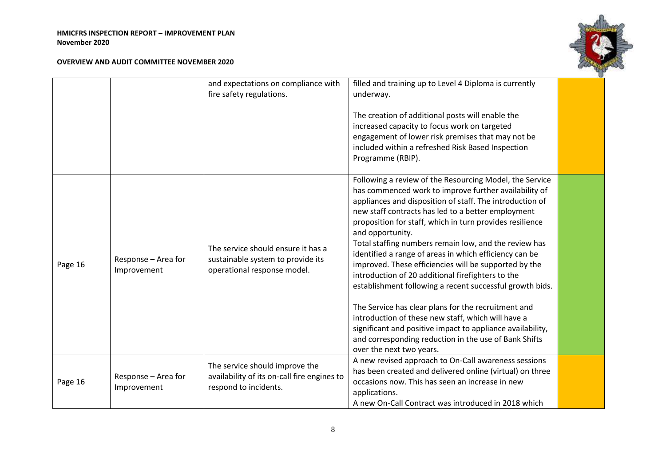

|         |                                    | and expectations on compliance with<br>fire safety regulations.                                        | filled and training up to Level 4 Diploma is currently<br>underway.<br>The creation of additional posts will enable the<br>increased capacity to focus work on targeted<br>engagement of lower risk premises that may not be<br>included within a refreshed Risk Based Inspection<br>Programme (RBIP).                                                                                                                                                                                                                                                                                                                                                                                                                                                                                                                                                                          |  |
|---------|------------------------------------|--------------------------------------------------------------------------------------------------------|---------------------------------------------------------------------------------------------------------------------------------------------------------------------------------------------------------------------------------------------------------------------------------------------------------------------------------------------------------------------------------------------------------------------------------------------------------------------------------------------------------------------------------------------------------------------------------------------------------------------------------------------------------------------------------------------------------------------------------------------------------------------------------------------------------------------------------------------------------------------------------|--|
| Page 16 | Response - Area for<br>Improvement | The service should ensure it has a<br>sustainable system to provide its<br>operational response model. | Following a review of the Resourcing Model, the Service<br>has commenced work to improve further availability of<br>appliances and disposition of staff. The introduction of<br>new staff contracts has led to a better employment<br>proposition for staff, which in turn provides resilience<br>and opportunity.<br>Total staffing numbers remain low, and the review has<br>identified a range of areas in which efficiency can be<br>improved. These efficiencies will be supported by the<br>introduction of 20 additional firefighters to the<br>establishment following a recent successful growth bids.<br>The Service has clear plans for the recruitment and<br>introduction of these new staff, which will have a<br>significant and positive impact to appliance availability,<br>and corresponding reduction in the use of Bank Shifts<br>over the next two years. |  |
| Page 16 | Response - Area for<br>Improvement | The service should improve the<br>availability of its on-call fire engines to<br>respond to incidents. | A new revised approach to On-Call awareness sessions<br>has been created and delivered online (virtual) on three<br>occasions now. This has seen an increase in new<br>applications.<br>A new On-Call Contract was introduced in 2018 which                                                                                                                                                                                                                                                                                                                                                                                                                                                                                                                                                                                                                                     |  |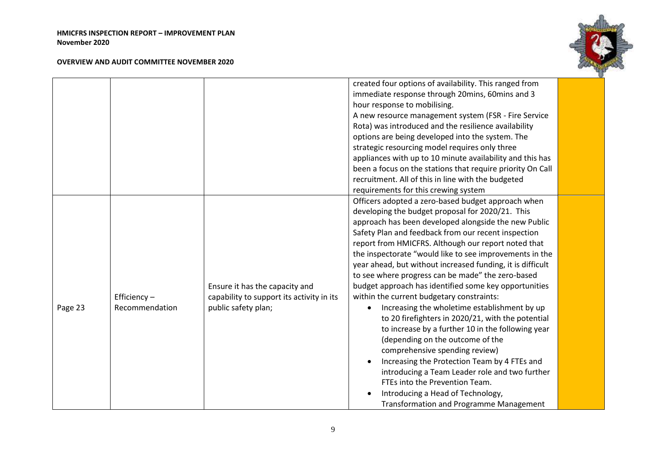

|         |                |                                           | created four options of availability. This ranged from     |  |
|---------|----------------|-------------------------------------------|------------------------------------------------------------|--|
|         |                |                                           | immediate response through 20mins, 60mins and 3            |  |
|         |                |                                           | hour response to mobilising.                               |  |
|         |                |                                           | A new resource management system (FSR - Fire Service       |  |
|         |                |                                           | Rota) was introduced and the resilience availability       |  |
|         |                |                                           | options are being developed into the system. The           |  |
|         |                |                                           | strategic resourcing model requires only three             |  |
|         |                |                                           | appliances with up to 10 minute availability and this has  |  |
|         |                |                                           | been a focus on the stations that require priority On Call |  |
|         |                |                                           | recruitment. All of this in line with the budgeted         |  |
|         |                |                                           | requirements for this crewing system                       |  |
|         |                |                                           | Officers adopted a zero-based budget approach when         |  |
|         |                |                                           | developing the budget proposal for 2020/21. This           |  |
|         |                |                                           | approach has been developed alongside the new Public       |  |
|         |                |                                           | Safety Plan and feedback from our recent inspection        |  |
|         |                |                                           | report from HMICFRS. Although our report noted that        |  |
|         |                |                                           | the inspectorate "would like to see improvements in the    |  |
|         |                |                                           | year ahead, but without increased funding, it is difficult |  |
|         |                |                                           | to see where progress can be made" the zero-based          |  |
|         |                | Ensure it has the capacity and            | budget approach has identified some key opportunities      |  |
|         | Efficiency $-$ | capability to support its activity in its | within the current budgetary constraints:                  |  |
| Page 23 | Recommendation | public safety plan;                       | Increasing the wholetime establishment by up               |  |
|         |                |                                           | to 20 firefighters in 2020/21, with the potential          |  |
|         |                |                                           | to increase by a further 10 in the following year          |  |
|         |                |                                           | (depending on the outcome of the                           |  |
|         |                |                                           | comprehensive spending review)                             |  |
|         |                |                                           | Increasing the Protection Team by 4 FTEs and               |  |
|         |                |                                           | introducing a Team Leader role and two further             |  |
|         |                |                                           | FTEs into the Prevention Team.                             |  |
|         |                |                                           | Introducing a Head of Technology,                          |  |
|         |                |                                           | <b>Transformation and Programme Management</b>             |  |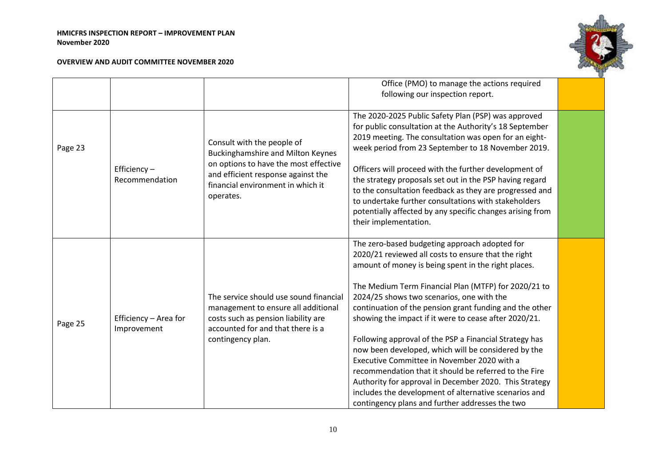

|         |                                      |                                                                                                                                                                                                         | Office (PMO) to manage the actions required                                                                                                                                                                                                                                                                                                                                                                                                                                                                                                                                                                                                                                                                                                                                         |  |
|---------|--------------------------------------|---------------------------------------------------------------------------------------------------------------------------------------------------------------------------------------------------------|-------------------------------------------------------------------------------------------------------------------------------------------------------------------------------------------------------------------------------------------------------------------------------------------------------------------------------------------------------------------------------------------------------------------------------------------------------------------------------------------------------------------------------------------------------------------------------------------------------------------------------------------------------------------------------------------------------------------------------------------------------------------------------------|--|
|         |                                      |                                                                                                                                                                                                         | following our inspection report.                                                                                                                                                                                                                                                                                                                                                                                                                                                                                                                                                                                                                                                                                                                                                    |  |
| Page 23 | Efficiency-<br>Recommendation        | Consult with the people of<br><b>Buckinghamshire and Milton Keynes</b><br>on options to have the most effective<br>and efficient response against the<br>financial environment in which it<br>operates. | The 2020-2025 Public Safety Plan (PSP) was approved<br>for public consultation at the Authority's 18 September<br>2019 meeting. The consultation was open for an eight-<br>week period from 23 September to 18 November 2019.<br>Officers will proceed with the further development of<br>the strategy proposals set out in the PSP having regard<br>to the consultation feedback as they are progressed and<br>to undertake further consultations with stakeholders<br>potentially affected by any specific changes arising from<br>their implementation.                                                                                                                                                                                                                          |  |
| Page 25 | Efficiency - Area for<br>Improvement | The service should use sound financial<br>management to ensure all additional<br>costs such as pension liability are<br>accounted for and that there is a<br>contingency plan.                          | The zero-based budgeting approach adopted for<br>2020/21 reviewed all costs to ensure that the right<br>amount of money is being spent in the right places.<br>The Medium Term Financial Plan (MTFP) for 2020/21 to<br>2024/25 shows two scenarios, one with the<br>continuation of the pension grant funding and the other<br>showing the impact if it were to cease after 2020/21.<br>Following approval of the PSP a Financial Strategy has<br>now been developed, which will be considered by the<br>Executive Committee in November 2020 with a<br>recommendation that it should be referred to the Fire<br>Authority for approval in December 2020. This Strategy<br>includes the development of alternative scenarios and<br>contingency plans and further addresses the two |  |